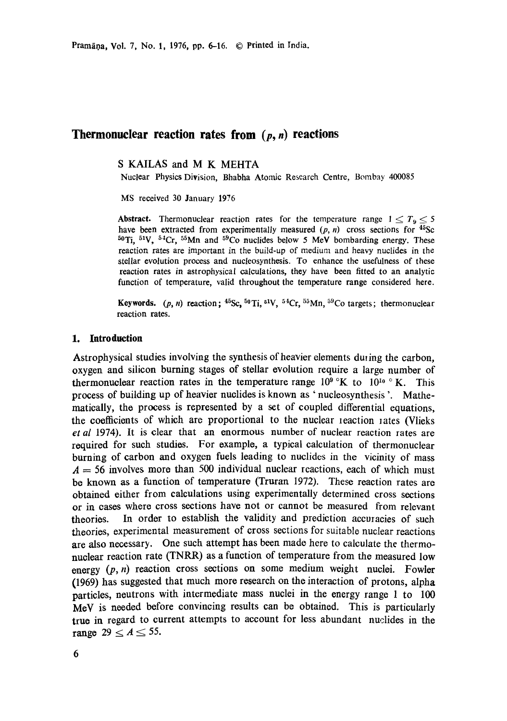Pramāna, Vol. 7, No. 1, 1976, pp. 6-16. © Printed in India.

# **Thermonuclear reaction rates from (p, n) reactions**

S KAILAS and M K MEHTA

Nuclear Physics Division, Bhabha Atomic Research Centre, Bombay 400085

MS received 30 January 1976

**Abstract.** Thermonuclear reaction rates for the temperature range  $1 \leq T_9 \leq 5$ have been extracted from experimentally measured  $(p, n)$  cross sections for  $45$ Sc  $50Ti$ ,  $51V$ ,  $54Cr$ ,  $55Mn$  and  $59Co$  nuclides below 5 MeV bombarding energy. These reaction rates are important in the build-up of medium and heavy nuclides in the stellar evolution process and nucleosynthesis. To enhance the usefulness of these reaction rates in astrophysical calculations, they have been fitted to an analytic function of temperature, valid throughout the temperature range considered here.

**Keywords.**  $(p, n)$  reaction;  $^{45}Sc$ ,  $^{50}Ti$ ,  $^{51}V$ ,  $^{54}Cr$ ,  $^{55}Mn$ ,  $^{59}Co$  targets; thermonuclear reaction rates.

# **1. Introduction**

Astrophysical studies involving the synthesis of heavier elements during the carbon, oxygen and silicon burning stages of stellar evolution require a large number of thermonuclear reaction rates in the temperature range  $10^9$  °K to  $10^{10}$  °K. This process of building up of heavier nuclides is known as ' nucleosynthesis '. Mathematically, the process is represented by a set of coupled differential equations. the coefficients of which are proportional to the nuclear leaction lates (Vlieks *et al* 1974). It is clear that an enormous number of nuclear reaction rates are required for such studies. For example, a typical calculation of thermonuclear burning of carbon and oxygen fuels leading to nuclides in the vicinity of mass  $A = 56$  involves more than 500 individual nuclear reactions, each of which must be known as a function of temperature (Truran 1972). These reaction rates are obtained either from calculations using experimentally determined cross sections or in oases where cross sections have not or cannot be measured from relevant theories. In order to establish the validity and prediction accuracies of such theories, experimental measurement of cross sections for suitable nuclear reactions are also necessary. One such attempt has been made here to calculate the thermonuclear reaction rate (TNRR) as a function of temperature from the measured low energy  $(p, n)$  reaction cross sections on some medium weight nuclei. Fowler (1969) has suggested that much more research on the interaction of protons, alpha particles, neutrons with intermediate mass nuclei in the energy range 1 to 100 MeV is needed before convincing results can be obtained. This is particularly true in regard to current attempts to account for less abundant nuclides in the range  $29 \le A \le 55$ .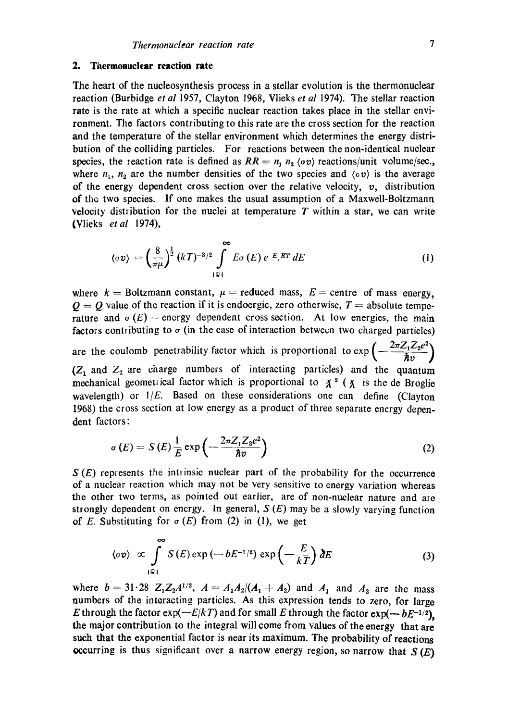#### **2.** Thermonuclear reaction rate

The heart of the nucleosynthesis process in a stellar evolution is the thermonuclear reaction (Burbidge et *al* 1957, Clayton 1968, Vlieks *et al* 1974). The stellar reaction rate is the rate at which a specific nuclear reaction takes place in the stellar environment. The factors contributing to this rate are the cross section for the reaction and the temperature of the stellar environment which determines the energy distribution of the colliding particles. For reactions between the non-identical nuclear species, the reaction rate is defined as  $RR = n_1 n_2 \langle \sigma v \rangle$  reactions/unit volume/sec., where  $n_1$ ,  $n_2$  are the number densities of the two species and  $\langle \sigma v \rangle$  is the average of the energy dependent cross section over the relative velocity,  $v$ , distribution of the two species. If one makes the usual assumption of a Maxwell-Boltzmanrt velocity distribution for the nuclei at temperature  $T$  within a star, we can write {Vlieks *etal* 1974),

$$
\langle \sigma v \rangle = \left(\frac{8}{\pi \mu}\right)^{\frac{1}{2}} (kT)^{-3/2} \int_{\lbrack Q \rbrack}^{\infty} E \sigma(E) e^{-E_{j}KT} dE \qquad (1)
$$

where  $k =$  Boltzmann constant,  $\mu =$  reduced mass,  $E =$  centre of mass energy,  $Q = Q$  value of the reaction if it is endoergic, zero otherwise,  $T =$  absolute temperature and  $\sigma(E)$  = energy dependent cross section. At low energies, the main factors contributing to  $\sigma$  (in the case of interaction between two charged particles) are the coulomb penetrability factor which is proportional to  $\exp\left(-\frac{2\pi Z_1 Z_2 e^2}{\pi}\right)$  $(Z_1$  and  $Z_2$  are charge numbers of interacting particles) and the quantum mechanical geometrical factor which is proportional to  $\chi^2$  ( $\chi$  is the de Broglie wavelength) or *I/E*. Based on these considerations one can define (Clayton 1968) the cross section at low energy as a product of three separate energy dependent factors :

$$
\sigma(E) = S(E) \frac{1}{E} \exp\left(-\frac{2\pi Z_1 Z_2 e^2}{\hbar v}\right) \tag{2}
$$

 $S(E)$  represents the intrinsic nuclear part of the probability for the occurrence of a nuclear reaction which may not be very sensitive to energy variation whereas the other two terms, as pointed out earlier, are of non-nuclear nature and are strongly dependent on energy. In general,  $S(E)$  may be a slowly varying function of E. Substituting for  $\sigma$  (E) from (2) in (1), we get

$$
\langle \sigma v \rangle \propto \int_{|\mathcal{Q}|}^{\infty} S(E) \exp\left(-bE^{-1/2}\right) \exp\left(-\frac{E}{kT}\right) dE \tag{3}
$$

where  $b = 31.28$   $Z_1Z_2A^{1/2}$ ,  $A = A_1A_2/(A_1 + A_2)$  and  $A_1$  and  $A_2$  are the mass numbers of the interacting particles. As this expression tends to zero, for large E through the factor  $exp(-E/kT)$  and for small E through the factor  $exp(-bE^{-1/2})$ . the major contribution to the integral will come from values of the onergy that are such that the exponential factor is near its maximum. The probability of reactions occurring is thus significant over a narrow energy region, so narrow that  $S(E)$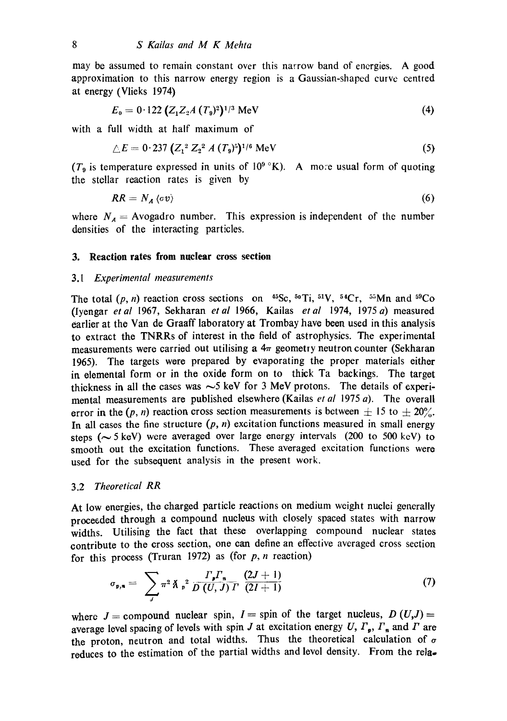may be assumed to remain constant over this narrow band of energies. A good approximation to this narrow energy region is a Gaussian-shapcd curve centred at energy (Vlieks 1974)

$$
E_0 = 0.122 (Z_1 Z_2 A (T_9)^2)^{1/3} \text{ MeV}
$$
 (4)

with a full width at half maximum of

$$
\triangle E = 0.237 \left( Z_1^2 Z_2^2 A (T_9)^5 \right)^{1/6} \text{MeV} \tag{5}
$$

( $T_9$  is temperature expressed in units of  $10^9$  °K). A more usual form of quoting the stellar reaction rates is given by

$$
RR = N_A \langle \sigma v \rangle \tag{6}
$$

where  $N_A$  = Avogadro number. This expression is independent of the number densities of the interacting particles.

# **3. Reaction rates from nuclear cross section**

## *3.1 Experimental measurements*

The total  $(p, n)$  reaction cross sections on  $45\text{Sc}$ ,  $50\text{Ti}$ ,  $51\text{V}$ ,  $54\text{Cr}$ ,  $55\text{Mn}$  and  $59\text{Co}$ (lyengar *etal* 1967, Sekharan *etal* 1966, Kailas *etal* 1974, 1975 a) measured earlier at the Van de Graaff laboratory at Trombay have been used in this analysis to extract the TNRRs of interest in the field of astrophysics. The experimental measurements were carried out utilising a  $4\pi$  geometry neutron counter (Sekharan 1965). The targets were prepared by evaporating the proper materials either in elemental form or in the oxide form on to thick Ta backings. The target thickness in all the cases was  $\sim$ 5 keV for 3 MeV protons. The details of experimental measurements are published elsewhere (Kailas *et al* 1975 a). The overall error in the (p, n) reaction cross section measurements is between  $\pm$  15 to  $\pm$  20%. In all cases the fine structure  $(p, n)$  excitation functions measured in small energy steps ( $\sim$  5 keV) were averaged over large energy intervals (200 to 500 keV) to smooth out the excitation functions. These averaged excitation functions were used for the subsequent analysis in the present work.

# 3.2 *Theoretical RR*

At low energies, the charged particle reactions on medium weight nuclei generally proceeded through a compound nucleus with closely spaced states with narrow widths. Utilising the fact that these overlapping compound nuclear states contribute to the cross section, one can define an effective averaged cross section for this process (Truran 1972) as (for  $p$ ,  $n$  reaction)

$$
\sigma_{p,n} = \sum_{J} \pi^2 \hat{\Lambda} \, p^2 \, \frac{\Gamma_p \Gamma_n}{D \, (U, J) \, \Gamma} \, \frac{(2J+1)}{(2I+1)} \tag{7}
$$

where  $J =$  compound nuclear spin,  $I =$  spin of the target nucleus,  $D(U, J) =$ average level spacing of levels with spin J at excitation energy U,  $\Gamma_n$ ,  $\Gamma_n$  and  $\Gamma$  are the proton, neutron and total widths. Thus the theoretical calculation of  $\sigma$ reduces to the estimation of the partial widths and level density. From the rela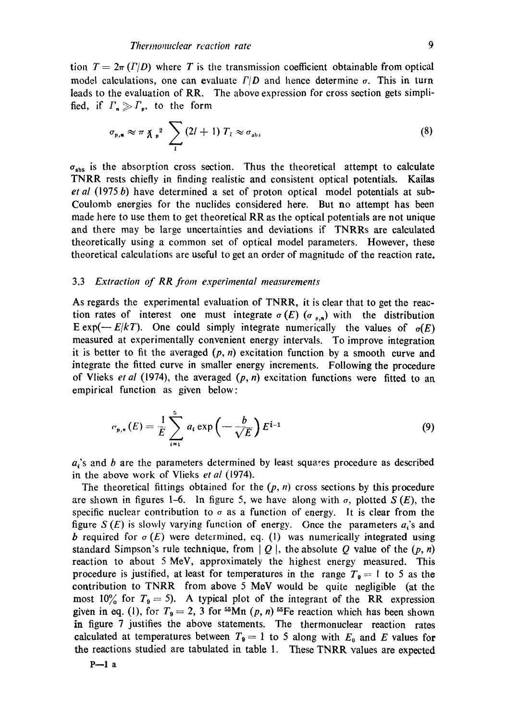tion  $T = 2\pi (I/D)$  where T is the transmission coefficient obtainable from optical model calculations, one can evaluate  $\Gamma/D$  and hence determine  $\sigma$ . This in turn leads to the evaluation of RR. The above expression for cross section gets simplified, if  $\Gamma_n \gg \Gamma_p$ , to the form

$$
\sigma_{p,n} \approx \pi \chi_p^2 \sum_l (2l+1) T_l \approx \sigma_{\text{abs}} \tag{8}
$$

 $\sigma_{\text{abs}}$  is the absorption cross section. Thus the theoretical attempt to calculate TNRR rests chiefly in finding realistic and consistent optical potentials. Kailas *et al* (1975 b) have determined a set of proton optical model potentials at sub-Coulomb energies for the nuclides considered here. But no attempt has been made here to use them to get theoretical RR as the optical potentials are not unique and there may be large uncertainties and deviations if TNRRs are calculated theoretically using a common set of optical model parameters. However, these theoretical calculations are useful to get an order of magnitude of the reaction rate.

#### 3.3 *Extraction of RR from experimental measurements*

As regards the experimental evaluation of TNRR, it is clear that to get the reaction rates of interest one must integrate  $\sigma(E)$  ( $\sigma_{p,n}$ ) with the distribution E exp(- $E/kT$ ). One could simply integrate numerically the values of  $\sigma(E)$ measured at experimentally convenient energy intervals. To improve integration it is better to fit the averaged  $(p, n)$  excitation function by a smooth curve and integrate the fitted curve in smaller energy increments. Following the procedure of Vlieks *et al* (1974), the averaged  $(p, n)$  excitation functions were fitted to an empirical function as given below:

$$
\sigma_{p,n}(E) = \frac{1}{E} \sum_{i=1}^{5} a_i \exp\left(-\frac{b}{\sqrt{E}}\right) E^{i-1}
$$
 (9)

 $a<sub>i</sub>$ 's and b are the parameters determined by least squares procedure as described in the above work of Vlieks *et al* (1974).

The theoretical fittings obtained for the  $(p, n)$  cross sections by this procedure are shown in figures 1-6. In figure 5, we have along with  $\sigma$ , plotted  $S(E)$ , the specific nuclear contribution to  $\sigma$  as a function of energy. It is clear from the figure  $S(E)$  is slowly varying function of energy. Once the parameters  $a_i$ 's and b required for  $\sigma(E)$  were determined, eq. (1) was numerically integrated using standard Simpson's rule technique, from  $|Q|$ , the absolute Q value of the  $(p, n)$ reaction to about 5 MeV, approximately the highest energy measured. This procedure is justified, at least for temperatures in the range  $T_9 = 1$  to 5 as the contribution to TNRR from above 5 MoV would be quite negligible (at the most 10% for  $T_9 = 5$ ). A typical plot of the integrant of the RR expression given in eq. (1), for  $T_9 = 2$ , 3 for <sup>55</sup>Mn (p, n) <sup>55</sup>Fe reaction which has been shown in figure 7 justifies the above statements. The thermonuclear reaction rates calculated at temperatures between  $T_9 = 1$  to 5 along with  $E_0$  and E values for the reactions studied are tabulated in table 1. These TNRR values are expected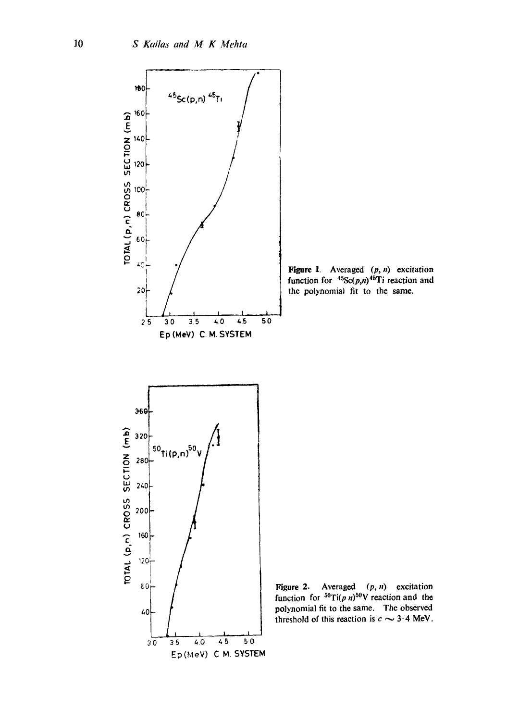

Figure 1. Averaged  $(p, n)$  excitation function for  ${}^{45}Sc(p,n){}^{45}Ti$  reaction and the polynomial fit to the same.

Figure 2. Averaged (p, n) excitation function for  ${}^{50}Ti(p n)^{50}V$  reaction and the polynomial fit to the same. The observed threshold of this reaction is  $c \sim 3.4$  MeV.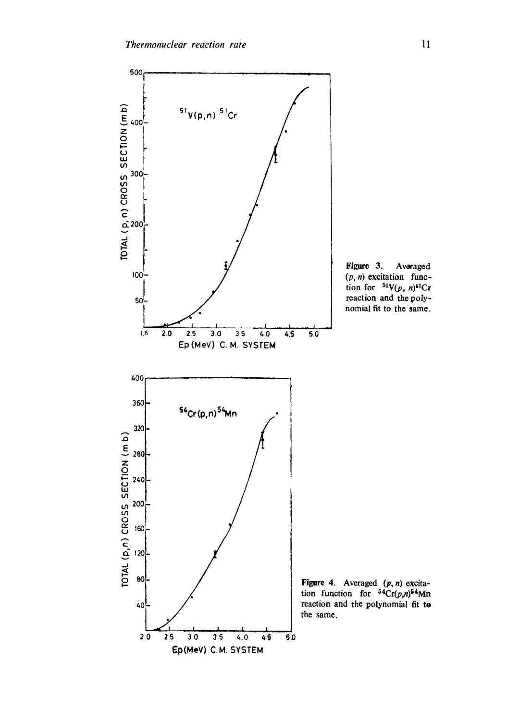

Figure 3. Averaged *(p,.n)* excitation function for  $\mathbf{N}(p, n)$ <sup>51</sup>Cr reaction and the polynomial fit to the same.

Figure 4. Averaged  $(p, n)$  excitation function for  ${}^{54}Cr(p,n)^{54}Mn$ reaction and the polynomial fit to the same.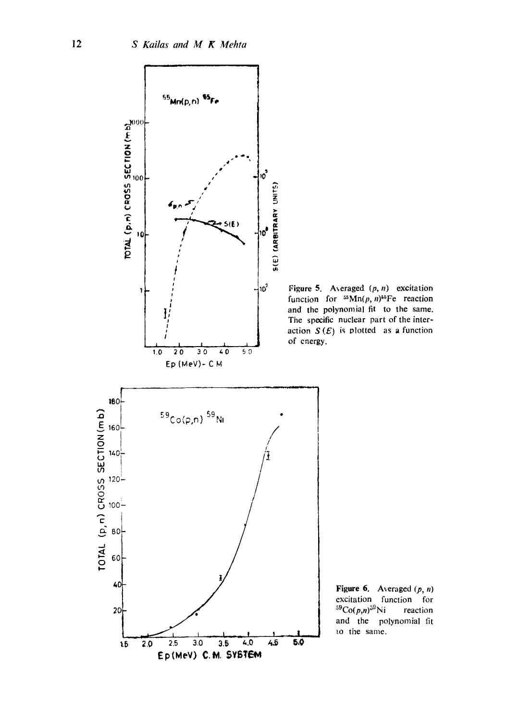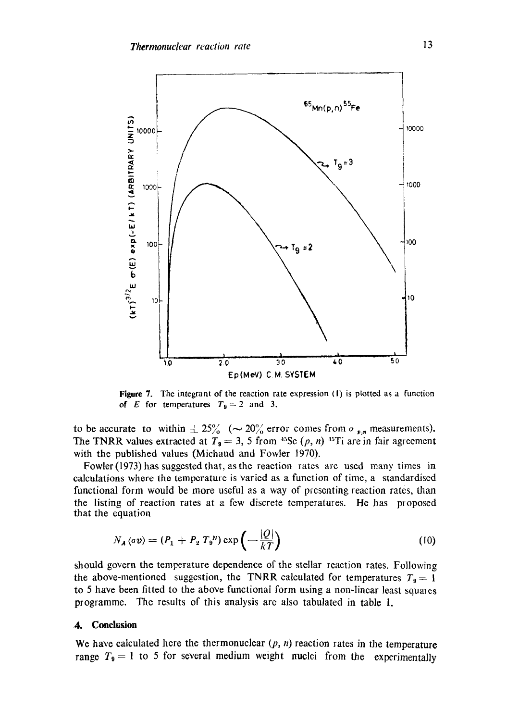

Figure 7. The integrant of the reaction rate expression (I) is plotted as a function of E for temperatures  $T_9 = 2$  and 3.

to be accurate to within  $\pm 25\%$  ( $\sim 20\%$  error comes from  $\sigma_{p,n}$  measurements). The TNRR values extracted at  $T_9 = 3$ , 5 from <sup>45</sup>Sc (p, n) <sup>45</sup>Ti are in fair agreement with the published values (Michaud and Fowler 1970).

Fowler (1973) has suggested that, asthe reaction rates are used many times in calculations where the temperature is varied as a function of time, a standardised functional form would be more useful as a way of presenting reaction rates, than the listing of reaction rates at a few discrete temperatures. He has proposed that the equation

$$
N_A \langle \sigma v \rangle = (P_1 + P_2 T_9^N) \exp\left(-\frac{|Q|}{kT}\right) \tag{10}
$$

should govern the temperature dependence of the stellar reaction rates. Following the above-mentioned suggestion, the TNRR calculated for temperatures  $T<sub>9</sub> = 1$ to 5 have been fitted to the above functional form using a non-linear least squales programme. The results of this analysis are also tabulated in table 1.

## **4. Conclusion**

We have calculated here the thermonuclear  $(p, n)$  reaction rates in the temperature range  $T_9 = 1$  to 5 for several medium weight nuclei from the experimentally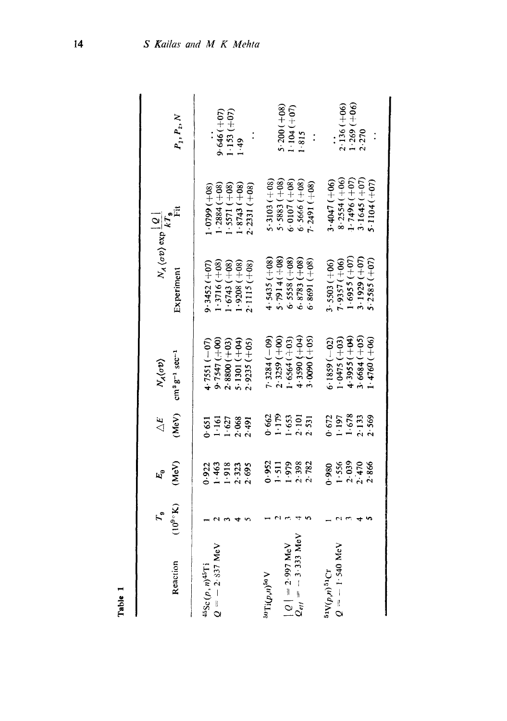|                                                                         | $P_1, P_2, N$                        |                               | $9.646(+07)$     | $1.153(+07)$     | 1.49           |                | $5.3103 (+08)$                    | $5.200(+08)$<br>$5.5883 (+08)$ | $1.104 (+07)$                 | 1.815                          | $\ddot{\cdot}$ | $3.4047(+06)$     | $2.136(+06)$<br>$8.2554 (+06)$ | $(1 - 269 (+06)$<br>$1 - 7496 (+07)$ | 2.270<br>$3.1645(+07)$ | $5.1104(+07)$  |
|-------------------------------------------------------------------------|--------------------------------------|-------------------------------|------------------|------------------|----------------|----------------|-----------------------------------|--------------------------------|-------------------------------|--------------------------------|----------------|-------------------|--------------------------------|--------------------------------------|------------------------|----------------|
| $N_A\langle\sigma v\rangle \exp\frac{ \mathcal{Q} }{kT_{\mathfrak{g}}}$ |                                      | $(80 + 1660 \cdot$            | $-2884(+08)$     | $-5571 (+08)$    | $(8743 (+08)$  | $2.2331(+08)$  |                                   |                                | $6.0107(+08)$                 | $6.5666 (+08)$                 | $7.2491(+08)$  |                   |                                |                                      |                        |                |
|                                                                         | Experiment                           | $9.3452 (+07)$                | $1.3716 (+08)$   | $(80+)$ (+08)    | $.9208 (+08)$  | $2.1115 (+08)$ | $4.5435(+08)$                     | $5.7914(+08)$                  | $6.5558(+08)$                 | $6.8783 (+08)$                 | $6.8691 (+08)$ | $3.5503 (+06)$    | $7.9357(+06)$                  | $1.6955 (+07)$                       | $3.1929 (+07)$         | $5.2585 (+07)$ |
| $N_A(\sigma v)$                                                         | $cm^{3}g^{-1}$ sec <sup>-1</sup>     | $-7551(-07)$                  | 9.7547 (+00)     | $2.8800(+03)$    | $5.1301 (+04)$ | $2.9235 (+05)$ | $7.3284(-09)$                     | $2.3259(+00)$                  | $.6564(+03)$                  | $(+0+)$ 0655.                  | $0.0090 (+05)$ | $6.1859(-02)$     | $(60+)$ 5740.                  | $4.3955 (+04)$                       | $3.6684(+05)$          | $1.4760(+06)$  |
| $\Delta E$                                                              | (MeV)                                | .651                          | 1.61             | 1.627            | 2.068          | 2.491          |                                   |                                | $1.179$<br>$1.179$<br>$1.653$ | $2.101$<br>$2.531$             |                |                   | $0.672$<br>1.197               | 1.678                                | 2.133                  | 2.569          |
|                                                                         | (MeV)                                | 0.922                         | 1.463            | $1.918$<br>2.323 |                | 2.695          | 0.952                             | 1.511                          | 1.979                         | 2.398                          | 2.782          | 0.980             | 1.556                          |                                      | $2.039$<br>$2.470$     | 2.866          |
| $\mathcal{F}_{\bullet}$                                                 | $(10^{9} \text{ }^{\circ} \text{K})$ |                               |                  |                  |                |                |                                   |                                |                               |                                |                |                   |                                |                                      |                        |                |
|                                                                         | Reaction                             | $45Sc(p, n)$ <sup>45</sup> Ti | $Q = -2.337$ MeV |                  |                |                | $\mathrm{^{30}Ti}(\rho,n)^{50}$ V |                                | $ Q  = 2.997$ MeV             | $Q_{eff} = -3.333 \text{ MeV}$ |                | $51V(p,n)$ $51Cr$ | $Q = -1.540$ MeV               |                                      |                        |                |

Table 1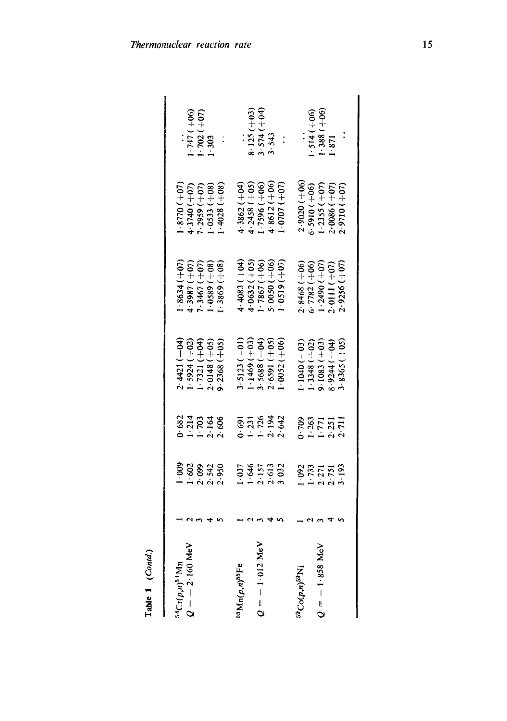| ${}^{54}Cr(p,n){}^{54}Mn$                | 1.009                                          | 0.682                                   | $2.4421(-04)$                    | $.8634(+07)$     | $(.0 + 0.25 \cdot .8770)$ |               |
|------------------------------------------|------------------------------------------------|-----------------------------------------|----------------------------------|------------------|---------------------------|---------------|
| $Q = -2.160$ MeV                         | 1.602                                          | $1.214$<br>$1.213$<br>$2.164$<br>$2.06$ | $-.5924(+02)$                    | $(10+) 1885$     | $4.3740 (+07)$            | $1.747(+06)$  |
|                                          |                                                |                                         | $-7321 (+04)$                    | $7.3467 (+07)$   | $(1-2959(1-07))$          | $1.702 (+07)$ |
|                                          | $2.999$<br>$2.542$<br>$2.950$                  |                                         |                                  | $(1.0589 (+08))$ | $-0.533(+0.8)$            | 1.303         |
|                                          |                                                |                                         | $2.0148 (+05)$<br>9.2368 $(+05)$ | $1.3869(+08)$    | $(4028 (+08))$            |               |
| $^{55}\mathrm{Mn}(p, n)^{55}\mathrm{Fe}$ | 1.037                                          | .691                                    | $3.5123(-01)$                    | $4.4083(+04)$    | 4.3862 $(+04)$            |               |
|                                          |                                                | 1.231                                   | $1.1469 (+03)$                   | $4.0632 (+05)$   | $4.2458(+05)$             | $8.125 (+03)$ |
| $Q = -1.012$ MeV                         |                                                |                                         | $3.5688 (+04)$                   | $1 - 7867 (+06)$ | $(90 + 1965$              | $3.574(+04)$  |
|                                          | $\frac{1.646}{2.157}$<br>$\frac{2.157}{2.613}$ | $1.726$<br>$2.194$<br>$2.642$           | $2.6591 (+05)$                   | $(90 + 0050$     | $4.8612 (+06)$            | 3.543         |
|                                          |                                                |                                         | $.0052(+06)$                     | (0.019(100))     | $(10 + 0707)$             |               |
| ${}^{59}Co(p,n){}^{59}Ni$                |                                                |                                         | $(1040(-03))$                    | $2.8468 (+06)$   | $2.9020 (+06)$            |               |
|                                          |                                                |                                         | $-3348 (+02)$                    | $6.7782 (+06)$   | $5.5910 (+06)$            | 1.514 (+06)   |
| $Q = -1.858$ MeV                         | $1.73$<br>$1.73$<br>$2.71$<br>$2.751$          | 2011<br>1925<br>1925<br>2011            | $9.1083(+03)$                    | $1.2490 (+07)$   | $1 - 2355 (+07)$          | $1.388 (+06)$ |
|                                          |                                                |                                         | $(10 + 1)$ + $040$               | $2.0111(+07)$    | $2.0086 (+07)$            | 1.871         |
|                                          | 3.193                                          |                                         | $3.8365 (+05)$                   | $2.9256 (+07)$   | $2.9710 (+07)$            |               |
|                                          |                                                |                                         |                                  |                  |                           |               |

Table 1 *(Contd.)*  Table 1 (Contd.)